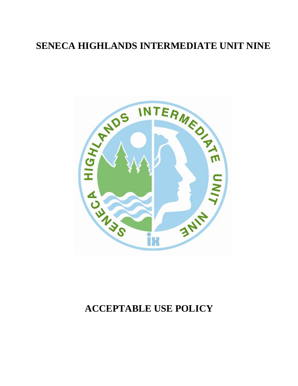# **SENECA HIGHLANDS INTERMEDIATE UNIT NINE**



# **ACCEPTABLE USE POLICY**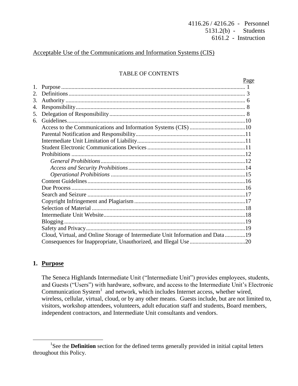# Acceptable Use of the Communications and Information Systems (CIS)

# TABLE OF CONTENTS

|    |                                                                                | Page |
|----|--------------------------------------------------------------------------------|------|
| 1. |                                                                                |      |
|    |                                                                                |      |
| 3. |                                                                                |      |
| 4. |                                                                                |      |
| 5. |                                                                                |      |
| 6. |                                                                                |      |
|    |                                                                                |      |
|    |                                                                                |      |
|    |                                                                                |      |
|    |                                                                                |      |
|    |                                                                                |      |
|    |                                                                                |      |
|    |                                                                                |      |
|    |                                                                                |      |
|    |                                                                                |      |
|    |                                                                                |      |
|    |                                                                                |      |
|    |                                                                                |      |
|    |                                                                                |      |
|    |                                                                                |      |
|    |                                                                                |      |
|    |                                                                                |      |
|    | Cloud, Virtual, and Online Storage of Intermediate Unit Information and Data19 |      |
|    |                                                                                |      |
|    |                                                                                |      |

# **1. Purpose**

 $\overline{a}$ 

The Seneca Highlands Intermediate Unit ("Intermediate Unit") provides employees, students, and Guests ("Users") with hardware, software, and access to the Intermediate Unit's Electronic Communication System<sup>1</sup> and network, which includes Internet access, whether wired, wireless, cellular, virtual, cloud, or by any other means. Guests include, but are not limited to, visitors, workshop attendees, volunteers, adult education staff and students, Board members, independent contractors, and Intermediate Unit consultants and vendors.

<sup>&</sup>lt;sup>1</sup>See the **Definition** section for the defined terms generally provided in initial capital letters throughout this Policy.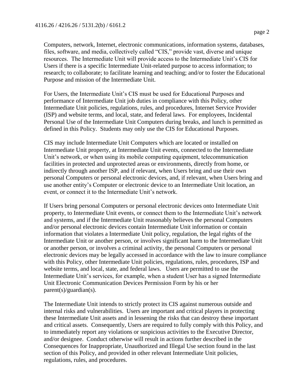Computers, network, Internet, electronic communications, information systems, databases, files, software, and media, collectively called "CIS," provide vast, diverse and unique resources. The Intermediate Unit will provide access to the Intermediate Unit's CIS for Users if there is a specific Intermediate Unit-related purpose to access information; to research; to collaborate; to facilitate learning and teaching; and/or to foster the Educational Purpose and mission of the Intermediate Unit.

For Users, the Intermediate Unit's CIS must be used for Educational Purposes and performance of Intermediate Unit job duties in compliance with this Policy, other Intermediate Unit policies, regulations, rules, and procedures, Internet Service Provider (ISP) and website terms, and local, state, and federal laws. For employees, Incidental Personal Use of the Intermediate Unit Computers during breaks, and lunch is permitted as defined in this Policy. Students may only use the CIS for Educational Purposes.

CIS may include Intermediate Unit Computers which are located or installed on Intermediate Unit property, at Intermediate Unit events, connected to the Intermediate Unit's network, or when using its mobile computing equipment, telecommunication facilities in protected and unprotected areas or environments, directly from home, or indirectly through another ISP, and if relevant, when Users bring and use their own personal Computers or personal electronic devices, and, if relevant, when Users bring and use another entity's Computer or electronic device to an Intermediate Unit location, an event, or connect it to the Intermediate Unit's network.

If Users bring personal Computers or personal electronic devices onto Intermediate Unit property, to Intermediate Unit events, or connect them to the Intermediate Unit's network and systems, and if the Intermediate Unit reasonably believes the personal Computers and/or personal electronic devices contain Intermediate Unit information or contain information that violates a Intermediate Unit policy, regulation, the legal rights of the Intermediate Unit or another person, or involves significant harm to the Intermediate Unit or another person, or involves a criminal activity, the personal Computers or personal electronic devices may be legally accessed in accordance with the law to insure compliance with this Policy, other Intermediate Unit policies, regulations, rules, procedures, ISP and website terms, and local, state, and federal laws. Users are permitted to use the Intermediate Unit's services, for example, when a student User has a signed Intermediate Unit Electronic Communication Devices Permission Form by his or her parent(s)/guardian(s).

The Intermediate Unit intends to strictly protect its CIS against numerous outside and internal risks and vulnerabilities. Users are important and critical players in protecting these Intermediate Unit assets and in lessening the risks that can destroy these important and critical assets. Consequently, Users are required to fully comply with this Policy, and to immediately report any violations or suspicious activities to the Executive Director, and/or designee. Conduct otherwise will result in actions further described in the Consequences for Inappropriate, Unauthorized and Illegal Use section found in the last section of this Policy, and provided in other relevant Intermediate Unit policies, regulations, rules, and procedures.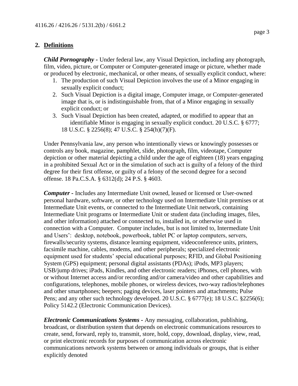# **2. Definitions**

*Child Pornography -* Under federal law, any Visual Depiction, including any photograph, film, video, picture, or Computer or Computer-generated image or picture, whether made or produced by electronic, mechanical, or other means, of sexually explicit conduct, where:

- 1. The production of such Visual Depiction involves the use of a Minor engaging in sexually explicit conduct;
- 2. Such Visual Depiction is a digital image, Computer image, or Computer-generated image that is, or is indistinguishable from, that of a Minor engaging in sexually explicit conduct; or
- 3. Such Visual Depiction has been created, adapted, or modified to appear that an identifiable Minor is engaging in sexually explicit conduct. 20 U.S.C. § 6777; 18 U.S.C. § 2256(8); 47 U.S.C. § 254(h)(7)(F).

Under Pennsylvania law, any person who intentionally views or knowingly possesses or controls any book, magazine, pamphlet, slide, photograph, film, videotape, Computer depiction or other material depicting a child under the age of eighteen (18) years engaging in a prohibited Sexual Act or in the simulation of such act is guilty of a felony of the third degree for their first offense, or guilty of a felony of the second degree for a second offense. 18 Pa.C.S.A. § 6312(d); 24 P.S. § 4603.

*Computer -* Includes any Intermediate Unit owned, leased or licensed or User-owned personal hardware, software, or other technology used on Intermediate Unit premises or at Intermediate Unit events, or connected to the Intermediate Unit network, containing Intermediate Unit programs or Intermediate Unit or student data (including images, files, and other information) attached or connected to, installed in, or otherwise used in connection with a Computer. Computer includes, but is not limited to, Intermediate Unit and Users': desktop, notebook, powerbook, tablet PC or laptop computers, servers, firewalls/security systems, distance learning equipment, videoconference units, printers, facsimile machine, cables, modems, and other peripherals; specialized electronic equipment used for students' special educational purposes; RFID, and Global Positioning System (GPS) equipment; personal digital assistants (PDAs); iPods, MP3 players; USB/jump drives; iPads, Kindles, and other electronic readers; iPhones, cell phones, with or without Internet access and/or recording and/or camera/video and other capabilities and configurations, telephones, mobile phones, or wireless devices, two-way radios/telephones and other smartphones; beepers; paging devices, laser pointers and attachments; Pulse Pens; and any other such technology developed. 20 U.S.C. § 6777(e); 18 U.S.C. §2256(6); Policy 5142.2 (Electronic Communication Devices).

*Electronic Communications Systems -* Any messaging, collaboration, publishing, broadcast, or distribution system that depends on electronic communications resources to create, send, forward, reply to, transmit, store, hold, copy, download, display, view, read, or print electronic records for purposes of communication across electronic communications network systems between or among individuals or groups, that is either explicitly denoted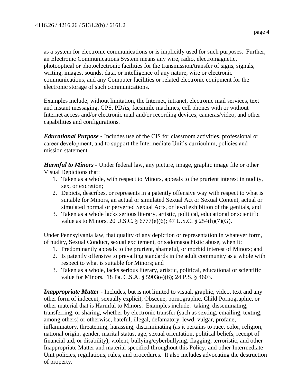as a system for electronic communications or is implicitly used for such purposes. Further, an Electronic Communications System means any wire, radio, electromagnetic, photooptical or photoelectronic facilities for the transmission/transfer of signs, signals, writing, images, sounds, data, or intelligence of any nature, wire or electronic communications, and any Computer facilities or related electronic equipment for the electronic storage of such communications.

Examples include, without limitation, the Internet, intranet, electronic mail services, text and instant messaging, GPS, PDAs, facsimile machines, cell phones with or without Internet access and/or electronic mail and/or recording devices, cameras/video, and other capabilities and configurations.

*Educational Purpose -* Includes use of the CIS for classroom activities, professional or career development, and to support the Intermediate Unit's curriculum, policies and mission statement.

*Harmful to Minors -* Under federal law, any picture, image, graphic image file or other Visual Depictions that:

- 1. Taken as a whole, with respect to Minors, appeals to the prurient interest in nudity, sex, or excretion;
- 2. Depicts, describes, or represents in a patently offensive way with respect to what is suitable for Minors, an actual or simulated Sexual Act or Sexual Content, actual or simulated normal or perverted Sexual Acts, or lewd exhibition of the genitals, and
- 3. Taken as a whole lacks serious literary, artistic, political, educational or scientific value as to Minors. 20 U.S.C. § 6777(e)(6); 47 U.S.C. § 254(h)(7)(G).

Under Pennsylvania law, that quality of any depiction or representation in whatever form, of nudity, Sexual Conduct, sexual excitement, or sadomasochistic abuse, when it:

- 1. Predominantly appeals to the prurient, shameful, or morbid interest of Minors; and
- 2. Is patently offensive to prevailing standards in the adult community as a whole with respect to what is suitable for Minors; and
- 3. Taken as a whole, lacks serious literary, artistic, political, educational or scientific value for Minors. 18 Pa. C.S.A. § 5903(e)(6); 24 P.S. § 4603.

*Inappropriate Matter* - Includes, but is not limited to visual, graphic, video, text and any other form of indecent, sexually explicit, Obscene, pornographic, Child Pornographic, or other material that is Harmful to Minors. Examples include: taking, disseminating, transferring, or sharing, whether by electronic transfer (such as sexting, emailing, texting, among others) or otherwise, hateful, illegal, defamatory, lewd, vulgar, profane, inflammatory, threatening, harassing, discriminating (as it pertains to race, color, religion, national origin, gender, marital status, age, sexual orientation, political beliefs, receipt of financial aid, or disability), violent, bullying/cyberbullying, flagging, terroristic, and other Inappropriate Matter and material specified throughout this Policy, and other Intermediate Unit policies, regulations, rules, and procedures. It also includes advocating the destruction of property.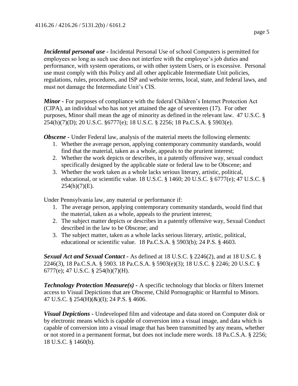*Incidental personal use -* Incidental Personal Use of school Computers is permitted for employees so long as such use does not interfere with the employee's job duties and performance, with system operations, or with other system Users, or is excessive. Personal use must comply with this Policy and all other applicable Intermediate Unit policies, regulations, rules, procedures, and ISP and website terms, local, state, and federal laws, and must not damage the Intermediate Unit's CIS.

*Minor -* For purposes of compliance with the federal Children's Internet Protection Act (CIPA), an individual who has not yet attained the age of seventeen (17). For other purposes, Minor shall mean the age of minority as defined in the relevant law. 47 U.S.C. § 254(h)(7)(D); 20 U.S.C. §6777(e); 18 U.S.C. § 2256; 18 Pa.C.S.A. § 5903(e).

*Obscene* - Under Federal law, analysis of the material meets the following elements:

- 1. Whether the average person, applying contemporary community standards, would find that the material, taken as a whole, appeals to the prurient interest;
- 2. Whether the work depicts or describes, in a patently offensive way, sexual conduct specifically designed by the applicable state or federal law to be Obscene; and
- 3. Whether the work taken as a whole lacks serious literary, artistic, political, educational, or scientific value. 18 U.S.C. § 1460; 20 U.S.C. § 6777(e); 47 U.S.C. §  $254(h)(7)(E)$ .

Under Pennsylvania law, any material or performance if:

- 1. The average person, applying contemporary community standards, would find that the material, taken as a whole, appeals to the prurient interest;
- 2. The subject matter depicts or describes in a patently offensive way, Sexual Conduct described in the law to be Obscene; and
- 3. The subject matter, taken as a whole lacks serious literary, artistic, political, educational or scientific value. 18 Pa.C.S.A. § 5903(b); 24 P.S. § 4603.

*Sexual Act and Sexual Contact -* As defined at 18 U.S.C. § 2246(2), and at 18 U.S.C. § 2246(3), 18 Pa.C.S.A. § 5903. 18 Pa.C.S.A. § 5903(e)(3); 18 U.S.C. § 2246; 20 U.S.C. § 6777(e); 47 U.S.C. § 254(h)(7)(H).

*Technology Protection Measure(s) -* A specific technology that blocks or filters Internet access to Visual Depictions that are Obscene, Child Pornographic or Harmful to Minors. 47 U.S.C. § 254(H)(&)(I); 24 P.S. § 4606.

*Visual Depictions -* Undeveloped film and videotape and data stored on Computer disk or by electronic means which is capable of conversion into a visual image, and data which is capable of conversion into a visual image that has been transmitted by any means, whether or not stored in a permanent format, but does not include mere words. 18 Pa.C.S.A. § 2256; 18 U.S.C. § 1460(b).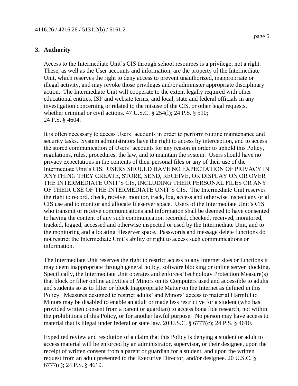## **3. Authority**

Access to the Intermediate Unit's CIS through school resources is a privilege, not a right. These, as well as the User accounts and information, are the property of the Intermediate Unit, which reserves the right to deny access to prevent unauthorized, inappropriate or illegal activity, and may revoke those privileges and/or administer appropriate disciplinary action. The Intermediate Unit will cooperate to the extent legally required with other educational entities, ISP and website terms, and local, state and federal officials in any investigation concerning or related to the misuse of the CIS, or other legal requests, whether criminal or civil actions. 47 U.S.C. § 254(1); 24 P.S. § 510; 24 P.S. § 4604.

It is often necessary to access Users' accounts in order to perform routine maintenance and security tasks. System administrators have the right to access by interception, and to access the stored communication of Users' accounts for any reason in order to uphold this Policy, regulations, rules, procedures, the law, and to maintain the system. Users should have no privacy expectations in the contents of their personal files or any of their use of the Intermediate Unit's CIS. USERS SHOULD HAVE NO EXPECTATION OF PRIVACY IN ANYTHING THEY CREATE, STORE, SEND, RECEIVE, OR DISPLAY ON OR OVER THE INTERMEDIATE UNIT'S CIS, INCLUDING THEIR PERSONAL FILES OR ANY OF THEIR USE OF THE INTERMEDIATE UNIT'S CIS. The Intermediate Unit reserves the right to record, check, receive, monitor, track, log, access and otherwise inspect any or all CIS use and to monitor and allocate fileserver space. Users of the Intermediate Unit's CIS who transmit or receive communications and information shall be deemed to have consented to having the content of any such communication recorded, checked, received, monitored, tracked, logged, accessed and otherwise inspected or used by the Intermediate Unit, and to the monitoring and allocating fileserver space. Passwords and message delete functions do not restrict the Intermediate Unit's ability or right to access such communications or information.

The Intermediate Unit reserves the right to restrict access to any Internet sites or functions it may deem inappropriate through general policy, software blocking or online server blocking. Specifically, the Intermediate Unit operates and enforces Technology Protection Measure(s) that block or filter online activities of Minors on its Computers used and accessible to adults and students so as to filter or block Inappropriate Matter on the Internet as defined in this Policy. Measures designed to restrict adults' and Minors' access to material Harmful to Minors may be disabled to enable an adult or made less restrictive for a student (who has provided written consent from a parent or guardian) to access bona fide research, not within the prohibitions of this Policy, or for another lawful purpose. No person may have access to material that is illegal under federal or state law. 20 U.S.C. § 6777(c); 24 P.S. § 4610.

Expedited review and resolution of a claim that this Policy is denying a student or adult to access material will be enforced by an administrator, supervisor, or their designee, upon the receipt of written consent from a parent or guardian for a student, and upon the written request from an adult presented to the Executive Director, and/or designee. 20 U.S.C. § 6777(c); 24 P.S. § 4610.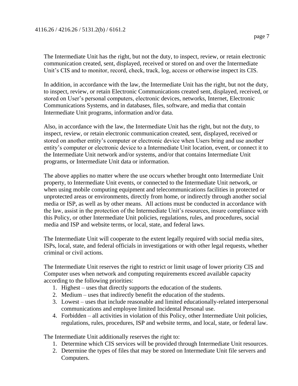The Intermediate Unit has the right, but not the duty, to inspect, review, or retain electronic communication created, sent, displayed, received or stored on and over the Intermediate Unit's CIS and to monitor, record, check, track, log, access or otherwise inspect its CIS.

In addition, in accordance with the law, the Intermediate Unit has the right, but not the duty, to inspect, review, or retain Electronic Communications created sent, displayed, received, or stored on User's personal computers, electronic devices, networks, Internet, Electronic Communications Systems, and in databases, files, software, and media that contain Intermediate Unit programs, information and/or data.

Also, in accordance with the law, the Intermediate Unit has the right, but not the duty, to inspect, review, or retain electronic communication created, sent, displayed, received or stored on another entity's computer or electronic device when Users bring and use another entity's computer or electronic device to a Intermediate Unit location, event, or connect it to the Intermediate Unit network and/or systems, and/or that contains Intermediate Unit programs, or Intermediate Unit data or information.

The above applies no matter where the use occurs whether brought onto Intermediate Unit property, to Intermediate Unit events, or connected to the Intermediate Unit network, or when using mobile computing equipment and telecommunications facilities in protected or unprotected areas or environments, directly from home, or indirectly through another social media or ISP, as well as by other means. All actions must be conducted in accordance with the law, assist in the protection of the Intermediate Unit's resources, insure compliance with this Policy, or other Intermediate Unit policies, regulations, rules, and procedures, social media and ISP and website terms, or local, state, and federal laws.

The Intermediate Unit will cooperate to the extent legally required with social media sites, ISPs, local, state, and federal officials in investigations or with other legal requests, whether criminal or civil actions.

The Intermediate Unit reserves the right to restrict or limit usage of lower priority CIS and Computer uses when network and computing requirements exceed available capacity according to the following priorities:

- 1. Highest uses that directly supports the education of the students.
- 2. Medium uses that indirectly benefit the education of the students.
- 3. Lowest uses that include reasonable and limited educationally-related interpersonal communications and employee limited Incidental Personal use.
- 4. Forbidden all activities in violation of this Policy, other Intermediate Unit policies, regulations, rules, procedures, ISP and website terms, and local, state, or federal law.

The Intermediate Unit additionally reserves the right to:

- 1. Determine which CIS services will be provided through Intermediate Unit resources.
- 2. Determine the types of files that may be stored on Intermediate Unit file servers and Computers.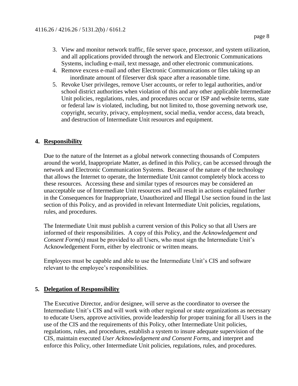- 4. Remove excess e-mail and other Electronic Communications or files taking up an inordinate amount of fileserver disk space after a reasonable time.
- 5. Revoke User privileges, remove User accounts, or refer to legal authorities, and/or school district authorities when violation of this and any other applicable Intermediate Unit policies, regulations, rules, and procedures occur or ISP and website terms, state or federal law is violated, including, but not limited to, those governing network use, copyright, security, privacy, employment, social media, vendor access, data breach, and destruction of Intermediate Unit resources and equipment.

# **4. Responsibility**

Due to the nature of the Internet as a global network connecting thousands of Computers around the world, Inappropriate Matter, as defined in this Policy, can be accessed through the network and Electronic Communication Systems. Because of the nature of the technology that allows the Internet to operate, the Intermediate Unit cannot completely block access to these resources. Accessing these and similar types of resources may be considered an unacceptable use of Intermediate Unit resources and will result in actions explained further in the Consequences for Inappropriate, Unauthorized and Illegal Use section found in the last section of this Policy, and as provided in relevant Intermediate Unit policies, regulations, rules, and procedures.

The Intermediate Unit must publish a current version of this Policy so that all Users are informed of their responsibilities. A copy of this Policy, and the *Acknowledgement and Consent Form(s)* must be provided to all Users, who must sign the Intermediate Unit's Acknowledgement Form, either by electronic or written means.

Employees must be capable and able to use the Intermediate Unit's CIS and software relevant to the employee's responsibilities.

# **5. Delegation of Responsibility**

The Executive Director, and/or designee, will serve as the coordinator to oversee the Intermediate Unit's CIS and will work with other regional or state organizations as necessary to educate Users, approve activities, provide leadership for proper training for all Users in the use of the CIS and the requirements of this Policy, other Intermediate Unit policies, regulations, rules, and procedures, establish a system to insure adequate supervision of the CIS, maintain executed *User Acknowledgement and Consent Forms*, and interpret and enforce this Policy, other Intermediate Unit policies, regulations, rules, and procedures.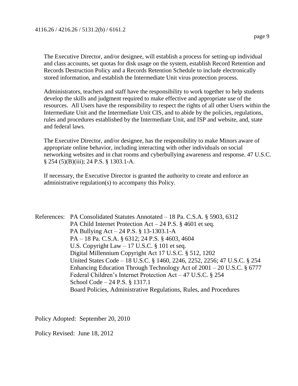The Executive Director, and/or designee, will establish a process for setting-up individual and class accounts, set quotas for disk usage on the system, establish Record Retention and Records Destruction Policy and a Records Retention Schedule to include electronically stored information, and establish the Intermediate Unit virus protection process.

Administrators, teachers and staff have the responsibility to work together to help students develop the skills and judgment required to make effective and appropriate use of the resources. All Users have the responsibility to respect the rights of all other Users within the Intermediate Unit and the Intermediate Unit CIS, and to abide by the policies, regulations, rules and procedures established by the Intermediate Unit, and ISP and website, and, state and federal laws.

The Executive Director, and/or designee, has the responsibility to make Minors aware of appropriate online behavior, including interacting with other individuals on social networking websites and in chat rooms and cyberbullying awareness and response. 47 U.S.C. § 254 (5)(B)(iii); 24 P.S. § 1303.1-A.

If necessary, the Executive Director is granted the authority to create and enforce an administrative regulation(s) to accompany this Policy.

References: PA Consolidated Statutes Annotated – 18 Pa. C.S.A. § 5903, 6312 PA Child Internet Protection Act – 24 P.S. § 4601 et seq. PA Bullying Act – 24 P.S. § 13-1303.1-A PA – 18 Pa. C.S.A. § 6312; 24 P.S. § 4603, 4604 U.S. Copyright Law – 17 U.S.C. § 101 et seq. Digital Millennium Copyright Act 17 U.S.C. § 512, 1202 United States Code – 18 U.S.C. § 1460, 2246, 2252, 2256; 47 U.S.C. § 254 Enhancing Education Through Technology Act of 2001 – 20 U.S.C. § 6777 Federal Children's Internet Protection Act – 47 U.S.C. § 254 School Code – 24 P.S. § 1317.1 Board Policies, Administrative Regulations, Rules, and Procedures

Policy Adopted: September 20, 2010

Policy Revised: June 18, 2012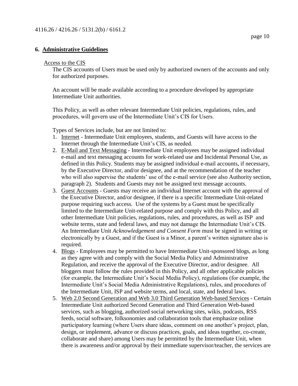## **6. Administrative Guidelines**

#### Access to the CIS

The CIS accounts of Users must be used only by authorized owners of the accounts and only for authorized purposes.

An account will be made available according to a procedure developed by appropriate Intermediate Unit authorities.

This Policy, as well as other relevant Intermediate Unit policies, regulations, rules, and procedures, will govern use of the Intermediate Unit's CIS for Users.

Types of Services include, but are not limited to:

- 1. Internet Intermediate Unit employees, students, and Guests will have access to the Internet through the Intermediate Unit's CIS, as needed.
- 2. E-Mail and Text Messaging Intermediate Unit employees may be assigned individual e-mail and text messaging accounts for work-related use and Incidental Personal Use, as defined in this Policy. Students may be assigned individual e-mail accounts, if necessary, by the Executive Director, and/or designee, and at the recommendation of the teacher who will also supervise the students' use of the e-mail service (see also Authority section, paragraph 2). Students and Guests may not be assigned text message accounts.
- 3. Guest Accounts Guests may receive an individual Internet account with the approval of the Executive Director, and/or designee, if there is a specific Intermediate Unit-related purpose requiring such access. Use of the systems by a Guest must be specifically limited to the Intermediate Unit-related purpose and comply with this Policy, and all other Intermediate Unit policies, regulations, rules, and procedures, as well as ISP and website terms, state and federal laws, and may not damage the Intermediate Unit's CIS. An Intermediate Unit *Acknowledgement and Consent Form* must be signed in writing or electronically by a Guest, and if the Guest is a Minor, a parent's written signature also is required.
- 4. Blogs Employees may be permitted to have Intermediate Unit-sponsored blogs, as long as they agree with and comply with the Social Media Policy and Administrative Regulation, and receive the approval of the Executive Director, and/or designee. All bloggers must follow the rules provided in this Policy, and all other applicable policies (for example, the Intermediate Unit's Social Media Policy), regulations (for example, the Intermediate Unit's Social Media Administrative Regulations), rules, and procedures of the Intermediate Unit, ISP and website terms, and local, state, and federal laws.
- 5. Web 2.0 Second Generation and Web 3.0 Third Generation Web-based Services Certain Intermediate Unit authorized Second Generation and Third Generation Web-based services, such as blogging, authorized social networking sites, wikis, podcasts, RSS feeds, social software, folksonomies and collaboration tools that emphasize online participatory learning (where Users share ideas, comment on one another's project, plan, design, or implement, advance or discuss practices, goals, and ideas together, co-create, collaborate and share) among Users may be permitted by the Intermediate Unit, when there is awareness and/or approval by their immediate supervisor/teacher, the services are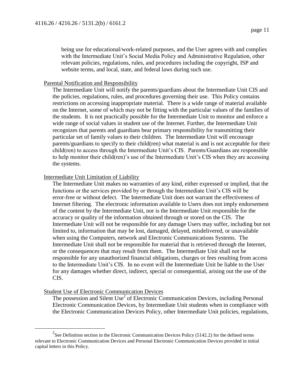being use for educational/work-related purposes, and the User agrees with and complies with the Intermediate Unit's Social Media Policy and Administrative Regulation, other relevant policies, regulations, rules, and procedures including the copyright, ISP and website terms, and local, state, and federal laws during such use.

## Parental Notification and Responsibility

The Intermediate Unit will notify the parents/guardians about the Intermediate Unit CIS and the policies, regulations, rules, and procedures governing their use. This Policy contains restrictions on accessing inappropriate material. There is a wide range of material available on the Internet, some of which may not be fitting with the particular values of the families of the students. It is not practically possible for the Intermediate Unit to monitor and enforce a wide range of social values in student use of the Internet. Further, the Intermediate Unit recognizes that parents and guardians bear primary responsibility for transmitting their particular set of family values to their children. The Intermediate Unit will encourage parents/guardians to specify to their child(ren) what material is and is not acceptable for their child(ren) to access through the Intermediate Unit's CIS. Parents/Guardians are responsible to help monitor their child(ren)'s use of the Intermediate Unit's CIS when they are accessing the systems.

## Intermediate Unit Limitation of Liability

The Intermediate Unit makes no warranties of any kind, either expressed or implied, that the functions or the services provided by or through the Intermediate Unit's CIS will be error-free or without defect. The Intermediate Unit does not warrant the effectiveness of Internet filtering. The electronic information available to Users does not imply endorsement of the content by the Intermediate Unit, nor is the Intermediate Unit responsible for the accuracy or quality of the information obtained through or stored on the CIS. The Intermediate Unit will not be responsible for any damage Users may suffer, including but not limited to, information that may be lost, damaged, delayed, misdelivered, or unavailable when using the Computers, network and Electronic Communications Systems. The Intermediate Unit shall not be responsible for material that is retrieved through the Internet, or the consequences that may result from them. The Intermediate Unit shall not be responsible for any unauthorized financial obligations, charges or fees resulting from access to the Intermediate Unit's CIS. In no event will the Intermediate Unit be liable to the User for any damages whether direct, indirect, special or consequential, arising out the use of the CIS.

## Student Use of Electronic Communication Devices

 $\overline{a}$ 

The possession and Silent Use<sup>2</sup> of Electronic Communication Devices, including Personal Electronic Communication Devices, by Intermediate Unit students when in compliance with the Electronic Communication Devices Policy, other Intermediate Unit policies, regulations,

<sup>&</sup>lt;sup>2</sup>See Definition section in the Electronic Communication Devices Policy (5142.2) for the defined terms relevant to Electronic Communication Devices and Personal Electronic Communication Devices provided in initial capital letters in this Policy.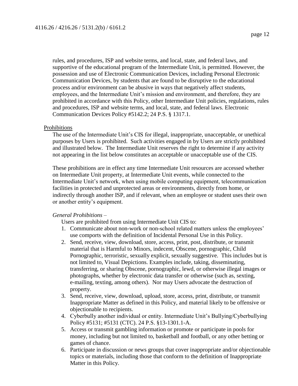rules, and procedures, ISP and website terms, and local, state, and federal laws, and supportive of the educational program of the Intermediate Unit, is permitted. However, the possession and use of Electronic Communication Devices, including Personal Electronic Communication Devices, by students that are found to be disruptive to the educational process and/or environment can be abusive in ways that negatively affect students, employees, and the Intermediate Unit's mission and environment, and therefore, they are prohibited in accordance with this Policy, other Intermediate Unit policies, regulations, rules and procedures, ISP and website terms, and local, state, and federal laws. Electronic Communication Devices Policy #5142.2; 24 P.S. § 1317.1.

#### Prohibitions

The use of the Intermediate Unit's CIS for illegal, inappropriate, unacceptable, or unethical purposes by Users is prohibited. Such activities engaged in by Users are strictly prohibited and illustrated below. The Intermediate Unit reserves the right to determine if any activity not appearing in the list below constitutes an acceptable or unacceptable use of the CIS.

These prohibitions are in effect any time Intermediate Unit resources are accessed whether on Intermediate Unit property, at Intermediate Unit events, while connected to the Intermediate Unit's network, when using mobile computing equipment, telecommunication facilities in protected and unprotected areas or environments, directly from home, or indirectly through another ISP, and if relevant, when an employee or student uses their own or another entity's equipment.

## *General Prohibitions* –

Users are prohibited from using Intermediate Unit CIS to:

- 1. Communicate about non-work or non-school related matters unless the employees' use comports with the definition of Incidental Personal Use in this Policy.
- 2. Send, receive, view, download, store, access, print, post, distribute, or transmit material that is Harmful to Minors, indecent, Obscene, pornographic, Child Pornographic, terroristic, sexually explicit, sexually suggestive. This includes but is not limited to, Visual Depictions. Examples include, taking, disseminating, transferring, or sharing Obscene, pornographic, lewd, or otherwise illegal images or photographs, whether by electronic data transfer or otherwise (such as, sexting, e-mailing, texting, among others). Nor may Users advocate the destruction of property.
- 3. Send, receive, view, download, upload, store, access, print, distribute, or transmit Inappropriate Matter as defined in this Policy, and material likely to be offensive or objectionable to recipients.
- 4. Cyberbully another individual or entity. Intermediate Unit's Bullying/Cyberbullying Policy #5131; #5131 (CTC). 24 P.S. §13-1301.1-A.
- 5. Access or transmit gambling information or promote or participate in pools for money, including but not limited to, basketball and football, or any other betting or games of chance.
- 6. Participate in discussion or news groups that cover inappropriate and/or objectionable topics or materials, including those that conform to the definition of Inappropriate Matter in this Policy.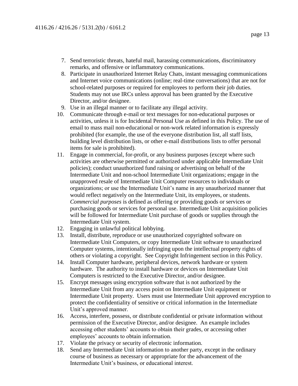- 7. Send terroristic threats, hateful mail, harassing communications, discriminatory remarks, and offensive or inflammatory communications.
- 8. Participate in unauthorized Internet Relay Chats, instant messaging communications and Internet voice communications (online; real-time conversations) that are not for school-related purposes or required for employees to perform their job duties. Students may not use IRCs unless approval has been granted by the Executive Director, and/or designee.
- 9. Use in an illegal manner or to facilitate any illegal activity.
- 10. Communicate through e-mail or text messages for non-educational purposes or activities, unless it is for Incidental Personal Use as defined in this Policy. The use of email to mass mail non-educational or non-work related information is expressly prohibited (for example, the use of the everyone distribution list, all staff lists, building level distribution lists, or other e-mail distributions lists to offer personal items for sale is prohibited).
- 11. Engage in commercial, for-profit, or any business purposes (except where such activities are otherwise permitted or authorized under applicable Intermediate Unit policies); conduct unauthorized fund raising or advertising on behalf of the Intermediate Unit and non-school Intermediate Unit organizations; engage in the unapproved resale of Intermediate Unit Computer resources to individuals or organizations; or use the Intermediate Unit's name in any unauthorized manner that would reflect negatively on the Intermediate Unit, its employees, or students. *Commercial purposes* is defined as offering or providing goods or services or purchasing goods or services for personal use. Intermediate Unit acquisition policies will be followed for Intermediate Unit purchase of goods or supplies through the Intermediate Unit system.
- 12. Engaging in unlawful political lobbying.
- 13. Install, distribute, reproduce or use unauthorized copyrighted software on Intermediate Unit Computers, or copy Intermediate Unit software to unauthorized Computer systems, intentionally infringing upon the intellectual property rights of others or violating a copyright. See Copyright Infringement section in this Policy.
- 14. Install Computer hardware, peripheral devices, network hardware or system hardware. The authority to install hardware or devices on Intermediate Unit Computers is restricted to the Executive Director, and/or designee.
- 15. Encrypt messages using encryption software that is not authorized by the Intermediate Unit from any access point on Intermediate Unit equipment or Intermediate Unit property. Users must use Intermediate Unit approved encryption to protect the confidentiality of sensitive or critical information in the Intermediate Unit's approved manner.
- 16. Access, interfere, possess, or distribute confidential or private information without permission of the Executive Director, and/or designee. An example includes accessing other students' accounts to obtain their grades, or accessing other employees' accounts to obtain information.
- 17. Violate the privacy or security of electronic information.
- 18. Send any Intermediate Unit information to another party, except in the ordinary course of business as necessary or appropriate for the advancement of the Intermediate Unit's business, or educational interest.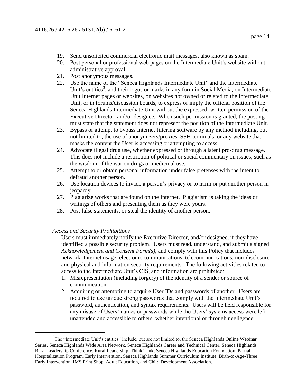- 19. Send unsolicited commercial electronic mail messages, also known as spam.
- 20. Post personal or professional web pages on the Intermediate Unit's website without administrative approval.
- 21. Post anonymous messages.
- 22. Use the name of the "Seneca Highlands Intermediate Unit" and the Intermediate Unit's entities<sup>3</sup>, and their logos or marks in any form in Social Media, on Intermediate Unit Internet pages or websites, on websites not owned or related to the Intermediate Unit, or in forums/discussion boards, to express or imply the official position of the Seneca Highlands Intermediate Unit without the expressed, written permission of the Executive Director, and/or designee. When such permission is granted, the posting must state that the statement does not represent the position of the Intermediate Unit.
- 23. Bypass or attempt to bypass Internet filtering software by any method including, but not limited to, the use of anonymizers/proxies, SSH terminals, or any website that masks the content the User is accessing or attempting to access.
- 24. Advocate illegal drug use, whether expressed or through a latent pro-drug message. This does not include a restriction of political or social commentary on issues, such as the wisdom of the war on drugs or medicinal use.
- 25. Attempt to or obtain personal information under false pretenses with the intent to defraud another person.
- 26. Use location devices to invade a person's privacy or to harm or put another person in jeopardy.
- 27. Plagiarize works that are found on the Internet. Plagiarism is taking the ideas or writings of others and presenting them as they were yours.
- 28. Post false statements, or steal the identity of another person.

*Access and Security Prohibitions* –

 $\overline{a}$ 

Users must immediately notify the Executive Director, and/or designee, if they have identified a possible security problem. Users must read, understand, and submit a signed *Acknowledgement and Consent Form(s)*, and comply with this Policy that includes network, Internet usage, electronic communications, telecommunications, non-disclosure and physical and information security requirements. The following activities related to access to the Intermediate Unit's CIS, and information are prohibited:

- 1. Misrepresentation (including forgery) of the identity of a sender or source of communication.
- 2. Acquiring or attempting to acquire User IDs and passwords of another. Users are required to use unique strong passwords that comply with the Intermediate Unit's password, authentication, and syntax requirements. Users will be held responsible for any misuse of Users' names or passwords while the Users' systems access were left unattended and accessible to others, whether intentional or through negligence.

<sup>&</sup>lt;sup>3</sup>The "Intermediate Unit's entities" include, but are not limited to, the Seneca Highlands Online Webinar Series, Seneca Highlands Wide Area Network, Seneca Highlands Career and Technical Center, Seneca Highlands Rural Leadership Conference, Rural Leadership, Think Tank, Seneca Highlands Education Foundation, Partial Hospitalization Program, Early Intervention, Seneca Highlands Summer Curriculum Institute, Birth-to-Age-Three Early Intervention, IMS Print Shop, Adult Education, and Child Development Association.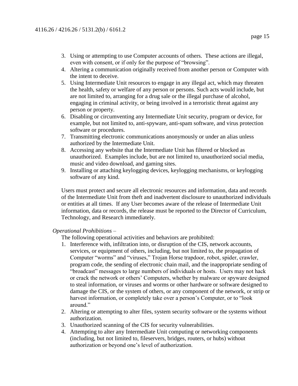- even with consent, or if only for the purpose of "browsing".
- 4. Altering a communication originally received from another person or Computer with the intent to deceive.
- 5. Using Intermediate Unit resources to engage in any illegal act, which may threaten the health, safety or welfare of any person or persons. Such acts would include, but are not limited to, arranging for a drug sale or the illegal purchase of alcohol, engaging in criminal activity, or being involved in a terroristic threat against any person or property.
- 6. Disabling or circumventing any Intermediate Unit security, program or device, for example, but not limited to, anti-spyware, anti-spam software, and virus protection software or procedures.
- 7. Transmitting electronic communications anonymously or under an alias unless authorized by the Intermediate Unit.
- 8. Accessing any website that the Intermediate Unit has filtered or blocked as unauthorized. Examples include, but are not limited to, unauthorized social media, music and video download, and gaming sites.
- 9. Installing or attaching keylogging devices, keylogging mechanisms, or keylogging software of any kind.

Users must protect and secure all electronic resources and information, data and records of the Intermediate Unit from theft and inadvertent disclosure to unauthorized individuals or entities at all times. If any User becomes aware of the release of Intermediate Unit information, data or records, the release must be reported to the Director of Curriculum, Technology, and Research immediately.

## *Operational Prohibitions* –

The following operational activities and behaviors are prohibited:

- 1. Interference with, infiltration into, or disruption of the CIS, network accounts, services, or equipment of others, including, but not limited to, the propagation of Computer "worms" and "viruses," Trojan Horse trapdoor, robot, spider, crawler, program code, the sending of electronic chain mail, and the inappropriate sending of "broadcast" messages to large numbers of individuals or hosts. Users may not hack or crack the network or others' Computers, whether by malware or spyware designed to steal information, or viruses and worms or other hardware or software designed to damage the CIS, or the system of others, or any component of the network, or strip or harvest information, or completely take over a person's Computer, or to "look around."
- 2. Altering or attempting to alter files, system security software or the systems without authorization.
- 3. Unauthorized scanning of the CIS for security vulnerabilities.
- 4. Attempting to alter any Intermediate Unit computing or networking components (including, but not limited to, fileservers, bridges, routers, or hubs) without authorization or beyond one's level of authorization.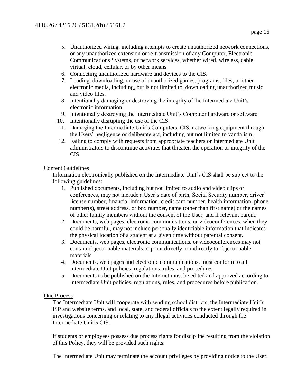- 5. Unauthorized wiring, including attempts to create unauthorized network connections, or any unauthorized extension or re-transmission of any Computer, Electronic Communications Systems, or network services, whether wired, wireless, cable, virtual, cloud, cellular, or by other means.
- 6. Connecting unauthorized hardware and devices to the CIS.
- 7. Loading, downloading, or use of unauthorized games, programs, files, or other electronic media, including, but is not limited to, downloading unauthorized music and video files.
- 8. Intentionally damaging or destroying the integrity of the Intermediate Unit's electronic information.
- 9. Intentionally destroying the Intermediate Unit's Computer hardware or software.
- 10. Intentionally disrupting the use of the CIS.
- 11. Damaging the Intermediate Unit's Computers, CIS, networking equipment through the Users' negligence or deliberate act, including but not limited to vandalism.
- 12. Failing to comply with requests from appropriate teachers or Intermediate Unit administrators to discontinue activities that threaten the operation or integrity of the CIS.

## Content Guidelines

Information electronically published on the Intermediate Unit's CIS shall be subject to the following guidelines:

- 1. Published documents, including but not limited to audio and video clips or conferences, may not include a User's date of birth, Social Security number, driver' license number, financial information, credit card number, health information, phone number(s), street address, or box number, name (other than first name) or the names of other family members without the consent of the User, and if relevant parent.
- 2. Documents, web pages, electronic communications, or videoconferences, when they could be harmful, may not include personally identifiable information that indicates the physical location of a student at a given time without parental consent.
- 3. Documents, web pages, electronic communications, or videoconferences may not contain objectionable materials or point directly or indirectly to objectionable materials.
- 4. Documents, web pages and electronic communications, must conform to all Intermediate Unit policies, regulations, rules, and procedures.
- 5. Documents to be published on the Internet must be edited and approved according to Intermediate Unit policies, regulations, rules, and procedures before publication.

## Due Process

The Intermediate Unit will cooperate with sending school districts, the Intermediate Unit's ISP and website terms, and local, state, and federal officials to the extent legally required in investigations concerning or relating to any illegal activities conducted through the Intermediate Unit's CIS.

If students or employees possess due process rights for discipline resulting from the violation of this Policy, they will be provided such rights.

The Intermediate Unit may terminate the account privileges by providing notice to the User.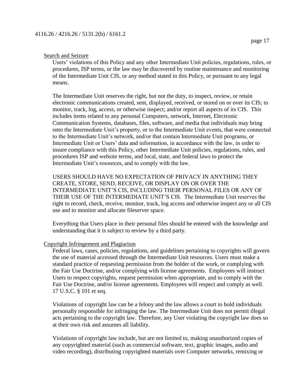## Search and Seizure

Users' violations of this Policy and any other Intermediate Unit policies, regulations, rules, or procedures, ISP terms, or the law may be discovered by routine maintenance and monitoring of the Intermediate Unit CIS, or any method stated in this Policy, or pursuant to any legal means.

The Intermediate Unit reserves the right, but not the duty, to inspect, review, or retain electronic communications created, sent, displayed, received, or stored on or over its CIS; to monitor, track, log, access, or otherwise inspect; and/or report all aspects of its CIS. This includes items related to any personal Computers, network, Internet, Electronic Communication Systems, databases, files, software, and media that individuals may bring onto the Intermediate Unit's property, or to the Intermediate Unit events, that were connected to the Intermediate Unit's network, and/or that contain Intermediate Unit programs, or Intermediate Unit or Users' data and information, in accordance with the law, in order to insure compliance with this Policy, other Intermediate Unit policies, regulations, rules, and procedures ISP and website terms, and local, state, and federal laws to protect the Intermediate Unit's resources, and to comply with the law.

USERS SHOULD HAVE NO EXPECTATION OF PRIVACY IN ANYTHING THEY CREATE, STORE, SEND, RECEIVE, OR DISPLAY ON OR OVER THE INTERMEDIATE UNIT'S CIS, INCLUDING THEIR PERSONAL FILES OR ANY OF THEIR USE OF THE INTERMEDIATE UNIT'S CIS. The Intermediate Unit reserves the right to record, check, receive, monitor, track, log access and otherwise inspect any or all CIS use and to monitor and allocate fileserver space.

Everything that Users place in their personal files should be entered with the knowledge and understanding that it is subject to review by a third party.

# Copyright Infringement and Plagiarism

Federal laws, cases, policies, regulations, and guidelines pertaining to copyrights will govern the use of material accessed through the Intermediate Unit resources. Users must make a standard practice of requesting permission from the holder of the work, or complying with the Fair Use Doctrine, and/or complying with license agreements. Employees will instruct Users to respect copyrights, request permission when appropriate, and to comply with the Fair Use Doctrine, and/or license agreements. Employees will respect and comply as well. 17 U.S.C. § 101 et seq.

Violations of copyright law can be a felony and the law allows a court to hold individuals personally responsible for infringing the law. The Intermediate Unit does not permit illegal acts pertaining to the copyright law. Therefore, any User violating the copyright law does so at their own risk and assumes all liability.

Violations of copyright law include, but are not limited to, making unauthorized copies of any copyrighted material (such as commercial software, text, graphic images, audio and video recording), distributing copyrighted materials over Computer networks, remixing or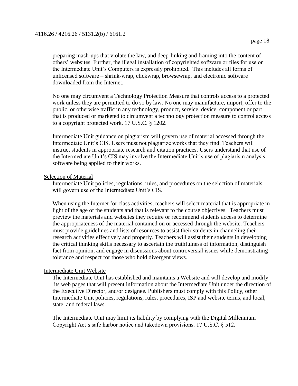preparing mash-ups that violate the law, and deep-linking and framing into the content of others' websites. Further, the illegal installation of copyrighted software or files for use on the Intermediate Unit's Computers is expressly prohibited. This includes all forms of unlicensed software – shrink-wrap, clickwrap, browsewrap, and electronic software downloaded from the Internet.

No one may circumvent a Technology Protection Measure that controls access to a protected work unless they are permitted to do so by law. No one may manufacture, import, offer to the public, or otherwise traffic in any technology, product, service, device, component or part that is produced or marketed to circumvent a technology protection measure to control access to a copyright protected work. 17 U.S.C. § 1202.

Intermediate Unit guidance on plagiarism will govern use of material accessed through the Intermediate Unit's CIS. Users must not plagiarize works that they find. Teachers will instruct students in appropriate research and citation practices. Users understand that use of the Intermediate Unit's CIS may involve the Intermediate Unit's use of plagiarism analysis software being applied to their works.

#### Selection of Material

Intermediate Unit policies, regulations, rules, and procedures on the selection of materials will govern use of the Intermediate Unit's CIS.

When using the Internet for class activities, teachers will select material that is appropriate in light of the age of the students and that is relevant to the course objectives. Teachers must preview the materials and websites they require or recommend students access to determine the appropriateness of the material contained on or accessed through the website. Teachers must provide guidelines and lists of resources to assist their students in channeling their research activities effectively and properly. Teachers will assist their students in developing the critical thinking skills necessary to ascertain the truthfulness of information, distinguish fact from opinion, and engage in discussions about controversial issues while demonstrating tolerance and respect for those who hold divergent views.

## Intermediate Unit Website

The Intermediate Unit has established and maintains a Website and will develop and modify its web pages that will present information about the Intermediate Unit under the direction of the Executive Director, and/or designee. Publishers must comply with this Policy, other Intermediate Unit policies, regulations, rules, procedures, ISP and website terms, and local, state, and federal laws.

The Intermediate Unit may limit its liability by complying with the Digital Millennium Copyright Act's safe harbor notice and takedown provisions. 17 U.S.C. § 512.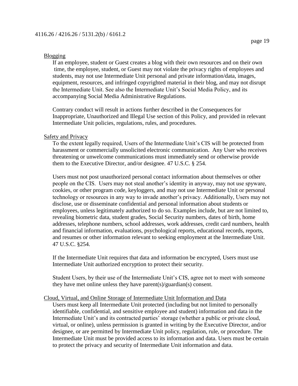## Blogging

If an employee, student or Guest creates a blog with their own resources and on their own time, the employee, student, or Guest may not violate the privacy rights of employees and students, may not use Intermediate Unit personal and private information/data, images, equipment, resources, and infringed copyrighted material in their blog, and may not disrupt the Intermediate Unit. See also the Intermediate Unit's Social Media Policy, and its accompanying Social Media Administrative Regulations.

Contrary conduct will result in actions further described in the Consequences for Inappropriate, Unauthorized and Illegal Use section of this Policy, and provided in relevant Intermediate Unit policies, regulations, rules, and procedures.

#### Safety and Privacy

To the extent legally required, Users of the Intermediate Unit's CIS will be protected from harassment or commercially unsolicited electronic communication. Any User who receives threatening or unwelcome communications must immediately send or otherwise provide them to the Executive Director, and/or designee. 47 U.S.C. § 254.

Users must not post unauthorized personal contact information about themselves or other people on the CIS. Users may not steal another's identity in anyway, may not use spyware, cookies, or other program code, keyloggers, and may not use Intermediate Unit or personal technology or resources in any way to invade another's privacy. Additionally, Users may not disclose, use or disseminate confidential and personal information about students or employees, unless legitimately authorized to do so. Examples include, but are not limited to, revealing biometric data, student grades, Social Security numbers, dates of birth, home addresses, telephone numbers, school addresses, work addresses, credit card numbers, health and financial information, evaluations, psychological reports, educational records, reports, and resumes or other information relevant to seeking employment at the Intermediate Unit. 47 U.S.C. §254.

If the Intermediate Unit requires that data and information be encrypted, Users must use Intermediate Unit authorized encryption to protect their security.

Student Users, by their use of the Intermediate Unit's CIS, agree not to meet with someone they have met online unless they have parent(s)/guardian(s) consent.

#### Cloud, Virtual, and Online Storage of Intermediate Unit Information and Data

Users must keep all Intermediate Unit protected (including but not limited to personally identifiable, confidential, and sensitive employee and student) information and data in the Intermediate Unit's and its contracted parties' storage (whether a public or private cloud, virtual, or online), unless permission is granted in writing by the Executive Director, and/or designee, or are permitted by Intermediate Unit policy, regulation, rule, or procedure. The Intermediate Unit must be provided access to its information and data. Users must be certain to protect the privacy and security of Intermediate Unit information and data.